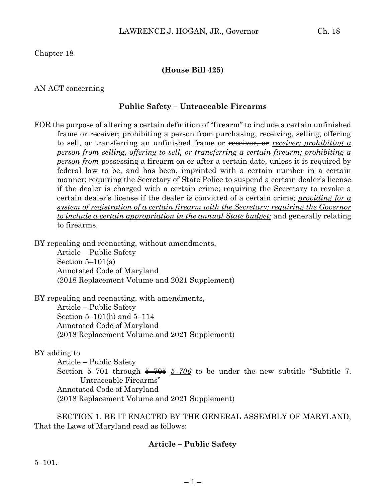Chapter 18

#### **(House Bill 425)**

#### AN ACT concerning

#### **Public Safety – Untraceable Firearms**

FOR the purpose of altering a certain definition of "firearm" to include a certain unfinished frame or receiver; prohibiting a person from purchasing, receiving, selling, offering to sell, or transferring an unfinished frame or receiver, or *receiver; prohibiting a person from selling, offering to sell, or transferring a certain firearm; prohibiting a person from* possessing a firearm on or after a certain date, unless it is required by federal law to be, and has been, imprinted with a certain number in a certain manner; requiring the Secretary of State Police to suspend a certain dealer's license if the dealer is charged with a certain crime; requiring the Secretary to revoke a certain dealer's license if the dealer is convicted of a certain crime; *providing for a system of registration of a certain firearm with the Secretary; requiring the Governor to include a certain appropriation in the annual State budget;* and generally relating to firearms.

BY repealing and reenacting, without amendments,

Article – Public Safety Section 5–101(a) Annotated Code of Maryland (2018 Replacement Volume and 2021 Supplement)

BY repealing and reenacting, with amendments, Article – Public Safety Section 5–101(h) and 5–114 Annotated Code of Maryland (2018 Replacement Volume and 2021 Supplement)

#### BY adding to

Article – Public Safety Section 5–701 through 5–705 *5–706* to be under the new subtitle "Subtitle 7. Untraceable Firearms" Annotated Code of Maryland (2018 Replacement Volume and 2021 Supplement)

SECTION 1. BE IT ENACTED BY THE GENERAL ASSEMBLY OF MARYLAND, That the Laws of Maryland read as follows:

#### **Article – Public Safety**

5–101.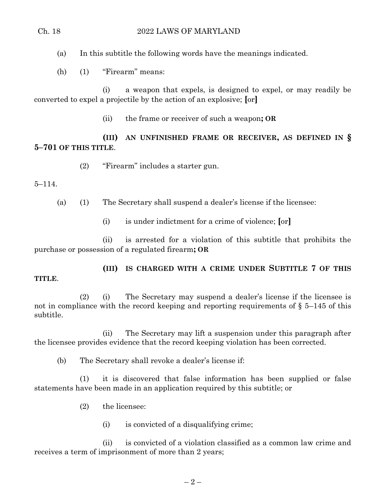#### Ch. 18 2022 LAWS OF MARYLAND

(a) In this subtitle the following words have the meanings indicated.

(h) (1) "Firearm" means:

(i) a weapon that expels, is designed to expel, or may readily be converted to expel a projectile by the action of an explosive; **[**or**]**

(ii) the frame or receiver of such a weapon**; OR** 

**(III) AN UNFINISHED FRAME OR RECEIVER, AS DEFINED IN § 5–701 OF THIS TITLE**.

(2) "Firearm" includes a starter gun.

#### 5–114.

(a) (1) The Secretary shall suspend a dealer's license if the licensee:

(i) is under indictment for a crime of violence; **[**or**]**

(ii) is arrested for a violation of this subtitle that prohibits the purchase or possession of a regulated firearm**; OR** 

# **(III) IS CHARGED WITH A CRIME UNDER SUBTITLE 7 OF THIS**

#### **TITLE**.

(2) (i) The Secretary may suspend a dealer's license if the licensee is not in compliance with the record keeping and reporting requirements of  $\S$  5–145 of this subtitle.

(ii) The Secretary may lift a suspension under this paragraph after the licensee provides evidence that the record keeping violation has been corrected.

(b) The Secretary shall revoke a dealer's license if:

(1) it is discovered that false information has been supplied or false statements have been made in an application required by this subtitle; or

- (2) the licensee:
	- (i) is convicted of a disqualifying crime;

(ii) is convicted of a violation classified as a common law crime and receives a term of imprisonment of more than 2 years;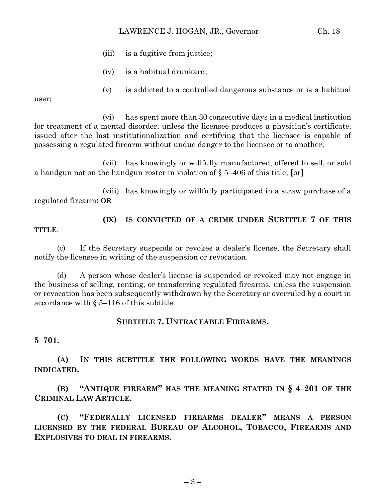#### LAWRENCE J. HOGAN, JR., Governor Ch. 18

- (iii) is a fugitive from justice;
- (iv) is a habitual drunkard;
- (v) is addicted to a controlled dangerous substance or is a habitual

user;

(vi) has spent more than 30 consecutive days in a medical institution for treatment of a mental disorder, unless the licensee produces a physician's certificate, issued after the last institutionalization and certifying that the licensee is capable of possessing a regulated firearm without undue danger to the licensee or to another;

(vii) has knowingly or willfully manufactured, offered to sell, or sold a handgun not on the handgun roster in violation of § 5–406 of this title; **[**or**]**

(viii) has knowingly or willfully participated in a straw purchase of a regulated firearm**; OR** 

**TITLE**.

# **(IX) IS CONVICTED OF A CRIME UNDER SUBTITLE 7 OF THIS**

(c) If the Secretary suspends or revokes a dealer's license, the Secretary shall notify the licensee in writing of the suspension or revocation.

(d) A person whose dealer's license is suspended or revoked may not engage in the business of selling, renting, or transferring regulated firearms, unless the suspension or revocation has been subsequently withdrawn by the Secretary or overruled by a court in accordance with § 5–116 of this subtitle.

#### **SUBTITLE 7. UNTRACEABLE FIREARMS.**

**5–701.**

**(A) IN THIS SUBTITLE THE FOLLOWING WORDS HAVE THE MEANINGS INDICATED.**

**(B) "ANTIQUE FIREARM" HAS THE MEANING STATED IN § 4–201 OF THE CRIMINAL LAW ARTICLE.**

**(C) "FEDERALLY LICENSED FIREARMS DEALER" MEANS A PERSON LICENSED BY THE FEDERAL BUREAU OF ALCOHOL, TOBACCO, FIREARMS AND EXPLOSIVES TO DEAL IN FIREARMS.**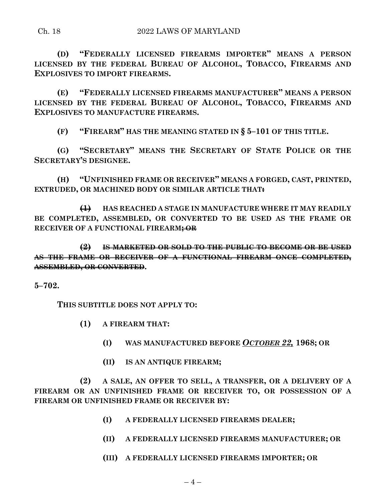**(D) "FEDERALLY LICENSED FIREARMS IMPORTER" MEANS A PERSON LICENSED BY THE FEDERAL BUREAU OF ALCOHOL, TOBACCO, FIREARMS AND EXPLOSIVES TO IMPORT FIREARMS.**

**(E) "FEDERALLY LICENSED FIREARMS MANUFACTURER" MEANS A PERSON LICENSED BY THE FEDERAL BUREAU OF ALCOHOL, TOBACCO, FIREARMS AND EXPLOSIVES TO MANUFACTURE FIREARMS.**

**(F) "FIREARM" HAS THE MEANING STATED IN § 5–101 OF THIS TITLE.**

**(G) "SECRETARY" MEANS THE SECRETARY OF STATE POLICE OR THE SECRETARY'S DESIGNEE.**

**(H) "UNFINISHED FRAME OR RECEIVER" MEANS A FORGED, CAST, PRINTED, EXTRUDED, OR MACHINED BODY OR SIMILAR ARTICLE THAT:**

**(1) HAS REACHED A STAGE IN MANUFACTURE WHERE IT MAY READILY BE COMPLETED, ASSEMBLED, OR CONVERTED TO BE USED AS THE FRAME OR RECEIVER OF A FUNCTIONAL FIREARM; OR** 

**(2) IS MARKETED OR SOLD TO THE PUBLIC TO BECOME OR BE USED AS THE FRAME OR RECEIVER OF A FUNCTIONAL FIREARM ONCE COMPLETED, ASSEMBLED, OR CONVERTED.**

**5–702.**

**THIS SUBTITLE DOES NOT APPLY TO:**

- **(1) A FIREARM THAT:**
	- **(I) WAS MANUFACTURED BEFORE** *OCTOBER 22,* **1968; OR**
	- **(II) IS AN ANTIQUE FIREARM;**

**(2) A SALE, AN OFFER TO SELL, A TRANSFER, OR A DELIVERY OF A FIREARM OR AN UNFINISHED FRAME OR RECEIVER TO, OR POSSESSION OF A FIREARM OR UNFINISHED FRAME OR RECEIVER BY:**

- **(I) A FEDERALLY LICENSED FIREARMS DEALER;**
- **(II) A FEDERALLY LICENSED FIREARMS MANUFACTURER; OR**
- **(III) A FEDERALLY LICENSED FIREARMS IMPORTER; OR**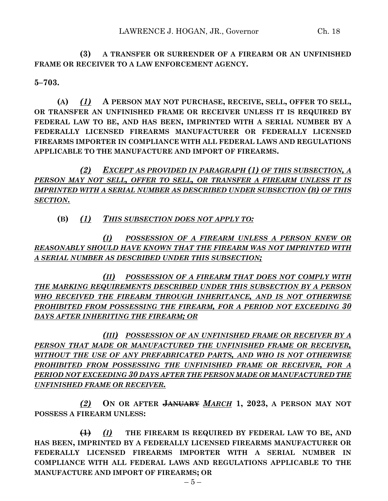**(3) A TRANSFER OR SURRENDER OF A FIREARM OR AN UNFINISHED FRAME OR RECEIVER TO A LAW ENFORCEMENT AGENCY.**

**5–703.**

**(A)** *(1)* **A PERSON MAY NOT PURCHASE, RECEIVE, SELL, OFFER TO SELL, OR TRANSFER AN UNFINISHED FRAME OR RECEIVER UNLESS IT IS REQUIRED BY FEDERAL LAW TO BE, AND HAS BEEN, IMPRINTED WITH A SERIAL NUMBER BY A FEDERALLY LICENSED FIREARMS MANUFACTURER OR FEDERALLY LICENSED FIREARMS IMPORTER IN COMPLIANCE WITH ALL FEDERAL LAWS AND REGULATIONS APPLICABLE TO THE MANUFACTURE AND IMPORT OF FIREARMS.**

*(2) EXCEPT AS PROVIDED IN PARAGRAPH (1) OF THIS SUBSECTION, A PERSON MAY NOT SELL, OFFER TO SELL, OR TRANSFER A FIREARM UNLESS IT IS IMPRINTED WITH A SERIAL NUMBER AS DESCRIBED UNDER SUBSECTION (B) OF THIS SECTION.*

### **(B)** *(1) THIS SUBSECTION DOES NOT APPLY TO:*

*(I) POSSESSION OF A FIREARM UNLESS A PERSON KNEW OR REASONABLY SHOULD HAVE KNOWN THAT THE FIREARM WAS NOT IMPRINTED WITH A SERIAL NUMBER AS DESCRIBED UNDER THIS SUBSECTION;*

*(II) POSSESSION OF A FIREARM THAT DOES NOT COMPLY WITH THE MARKING REQUIREMENTS DESCRIBED UNDER THIS SUBSECTION BY A PERSON WHO RECEIVED THE FIREARM THROUGH INHERITANCE, AND IS NOT OTHERWISE PROHIBITED FROM POSSESSING THE FIREARM, FOR A PERIOD NOT EXCEEDING 30 DAYS AFTER INHERITING THE FIREARM; OR*

*(III) POSSESSION OF AN UNFINISHED FRAME OR RECEIVER BY A PERSON THAT MADE OR MANUFACTURED THE UNFINISHED FRAME OR RECEIVER, WITHOUT THE USE OF ANY PREFABRICATED PARTS, AND WHO IS NOT OTHERWISE PROHIBITED FROM POSSESSING THE UNFINISHED FRAME OR RECEIVER, FOR A PERIOD NOT EXCEEDING 30 DAYS AFTER THE PERSON MADE OR MANUFACTURED THE UNFINISHED FRAME OR RECEIVER.*

*(2)* **ON OR AFTER JANUARY** *MARCH* **1, 2023, A PERSON MAY NOT POSSESS A FIREARM UNLESS:**

**(1)** *(I)* **THE FIREARM IS REQUIRED BY FEDERAL LAW TO BE, AND HAS BEEN, IMPRINTED BY A FEDERALLY LICENSED FIREARMS MANUFACTURER OR FEDERALLY LICENSED FIREARMS IMPORTER WITH A SERIAL NUMBER IN COMPLIANCE WITH ALL FEDERAL LAWS AND REGULATIONS APPLICABLE TO THE MANUFACTURE AND IMPORT OF FIREARMS; OR**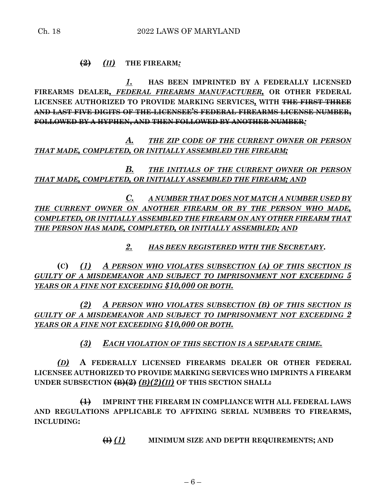# **(2)** *(II)* **THE FIREARM***:*

*1.* **HAS BEEN IMPRINTED BY A FEDERALLY LICENSED FIREARMS DEALER***, FEDERAL FIREARMS MANUFACTURER,* **OR OTHER FEDERAL LICENSEE AUTHORIZED TO PROVIDE MARKING SERVICES***,* **WITH THE FIRST THREE AND LAST FIVE DIGITS OF THE LICENSEE'S FEDERAL FIREARMS LICENSE NUMBER, FOLLOWED BY A HYPHEN, AND THEN FOLLOWED BY ANOTHER NUMBER***:*

*A. THE ZIP CODE OF THE CURRENT OWNER OR PERSON THAT MADE, COMPLETED, OR INITIALLY ASSEMBLED THE FIREARM;*

*B. THE INITIALS OF THE CURRENT OWNER OR PERSON THAT MADE, COMPLETED, OR INITIALLY ASSEMBLED THE FIREARM; AND*

*C. A NUMBER THAT DOES NOT MATCH A NUMBER USED BY THE CURRENT OWNER ON ANOTHER FIREARM OR BY THE PERSON WHO MADE, COMPLETED, OR INITIALLY ASSEMBLED THE FIREARM ON ANY OTHER FIREARM THAT THE PERSON HAS MADE, COMPLETED, OR INITIALLY ASSEMBLED; AND*

*2. HAS BEEN REGISTERED WITH THE SECRETARY***.**

**(C)** *(1) A PERSON WHO VIOLATES SUBSECTION (A) OF THIS SECTION IS GUILTY OF A MISDEMEANOR AND SUBJECT TO IMPRISONMENT NOT EXCEEDING 5 YEARS OR A FINE NOT EXCEEDING \$10,000 OR BOTH.*

*(2) A PERSON WHO VIOLATES SUBSECTION (B) OF THIS SECTION IS GUILTY OF A MISDEMEANOR AND SUBJECT TO IMPRISONMENT NOT EXCEEDING 2 YEARS OR A FINE NOT EXCEEDING \$10,000 OR BOTH.*

*(3) EACH VIOLATION OF THIS SECTION IS A SEPARATE CRIME.*

*(D)* **A FEDERALLY LICENSED FIREARMS DEALER OR OTHER FEDERAL LICENSEE AUTHORIZED TO PROVIDE MARKING SERVICES WHO IMPRINTS A FIREARM UNDER SUBSECTION**  $\left(\frac{B}{2}\right)\left(\frac{2}{H}\right)$ *(B)(2)(II)* **OF THIS SECTION SHALL<sup>2</sup>** 

**(1) IMPRINT THE FIREARM IN COMPLIANCE WITH ALL FEDERAL LAWS AND REGULATIONS APPLICABLE TO AFFIXING SERIAL NUMBERS TO FIREARMS, INCLUDING:**

**(I)** *(1)* **MINIMUM SIZE AND DEPTH REQUIREMENTS; AND**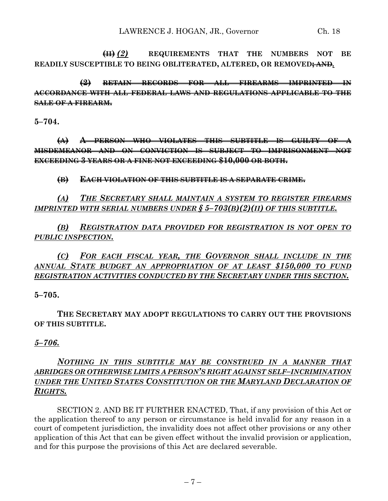**(II)** *(2)* **REQUIREMENTS THAT THE NUMBERS NOT BE READILY SUSCEPTIBLE TO BEING OBLITERATED, ALTERED, OR REMOVED; AND***.*

**(2) RETAIN RECORDS FOR ALL FIREARMS IMPRINTED IN ACCORDANCE WITH ALL FEDERAL LAWS AND REGULATIONS APPLICABLE TO THE SALE OF A FIREARM.**

**5–704.**

**(A) A PERSON WHO VIOLATES THIS SUBTITLE IS GUILTY OF A MISDEMEANOR AND ON CONVICTION IS SUBJECT TO IMPRISONMENT NOT EXCEEDING 3 YEARS OR A FINE NOT EXCEEDING \$10,000 OR BOTH.**

**(B) EACH VIOLATION OF THIS SUBTITLE IS A SEPARATE CRIME.**

*(A) THE SECRETARY SHALL MAINTAIN A SYSTEM TO REGISTER FIREARMS IMPRINTED WITH SERIAL NUMBERS UNDER § 5–703(B)(2)(II) OF THIS SUBTITLE.*

*(B) REGISTRATION DATA PROVIDED FOR REGISTRATION IS NOT OPEN TO PUBLIC INSPECTION.*

*(C) FOR EACH FISCAL YEAR, THE GOVERNOR SHALL INCLUDE IN THE ANNUAL STATE BUDGET AN APPROPRIATION OF AT LEAST \$150,000 TO FUND REGISTRATION ACTIVITIES CONDUCTED BY THE SECRETARY UNDER THIS SECTION.*

#### **5–705.**

**THE SECRETARY MAY ADOPT REGULATIONS TO CARRY OUT THE PROVISIONS OF THIS SUBTITLE.**

*5–706.*

# *NOTHING IN THIS SUBTITLE MAY BE CONSTRUED IN A MANNER THAT ABRIDGES OR OTHERWISE LIMITS A PERSON'S RIGHT AGAINST SELF–INCRIMINATION UNDER THE UNITED STATES CONSTITUTION OR THE MARYLAND DECLARATION OF RIGHTS.*

SECTION 2. AND BE IT FURTHER ENACTED, That, if any provision of this Act or the application thereof to any person or circumstance is held invalid for any reason in a court of competent jurisdiction, the invalidity does not affect other provisions or any other application of this Act that can be given effect without the invalid provision or application, and for this purpose the provisions of this Act are declared severable.